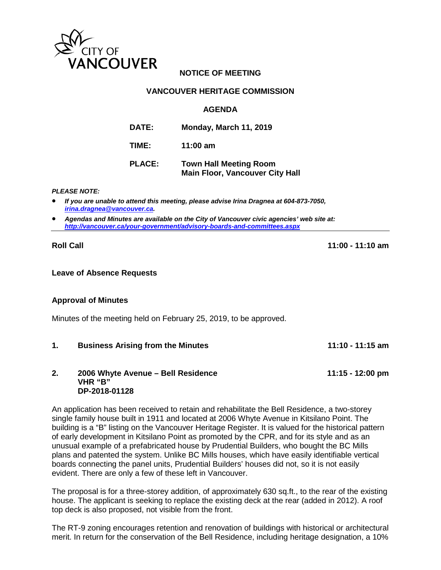

# **NOTICE OF MEETING**

## **VANCOUVER HERITAGE COMMISSION**

## **AGENDA**

| <b>DATE:</b>  | <b>Monday, March 11, 2019</b>                                           |
|---------------|-------------------------------------------------------------------------|
| TIME:         | 11:00 $am$                                                              |
| <b>PLACE:</b> | <b>Town Hall Meeting Room</b><br><b>Main Floor, Vancouver City Hall</b> |

#### *PLEASE NOTE:*

- *If you are unable to attend this meeting, please advise Irina Dragnea at 604-873-7050, [irina.dragnea@vancouver.ca.](mailto:irina.dragnea@vancouver.ca)*
- *Agendas and Minutes are available on the City of Vancouver civic agencies' web site at: <http://vancouver.ca/your-government/advisory-boards-and-committees.aspx>*

**Roll Call 11:00 - 11:10 am**

### **Leave of Absence Requests**

## **Approval of Minutes**

Minutes of the meeting held on February 25, 2019, to be approved.

**1. Business Arising from the Minutes 11:10 - 11:15 am**

### **2. 2006 Whyte Avenue – Bell Residence 11:15 - 12:00 pm VHR "B" DP-2018-01128**

An application has been received to retain and rehabilitate the Bell Residence, a two-storey single family house built in 1911 and located at 2006 Whyte Avenue in Kitsilano Point. The building is a "B" listing on the Vancouver Heritage Register. It is valued for the historical pattern of early development in Kitsilano Point as promoted by the CPR, and for its style and as an unusual example of a prefabricated house by Prudential Builders, who bought the BC Mills plans and patented the system. Unlike BC Mills houses, which have easily identifiable vertical boards connecting the panel units, Prudential Builders' houses did not, so it is not easily evident. There are only a few of these left in Vancouver.

The proposal is for a three-storey addition, of approximately 630 sq.ft., to the rear of the existing house. The applicant is seeking to replace the existing deck at the rear (added in 2012). A roof top deck is also proposed, not visible from the front.

The RT-9 zoning encourages retention and renovation of buildings with historical or architectural merit. In return for the conservation of the Bell Residence, including heritage designation, a 10%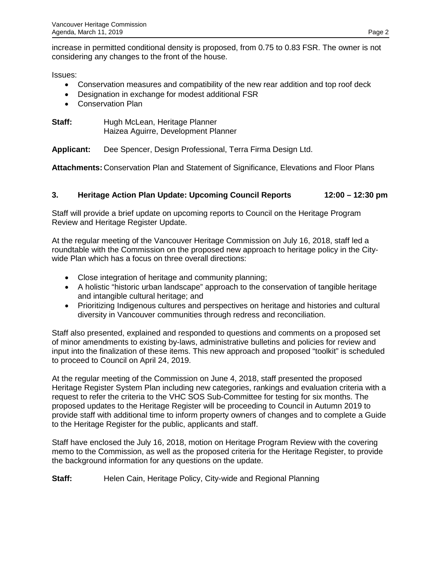increase in permitted conditional density is proposed, from 0.75 to 0.83 FSR. The owner is not considering any changes to the front of the house.

Issues:

- Conservation measures and compatibility of the new rear addition and top roof deck
- Designation in exchange for modest additional FSR
- Conservation Plan
- **Staff:** Hugh McLean, Heritage Planner Haizea Aguirre, Development Planner

**Applicant:** Dee Spencer, Design Professional, Terra Firma Design Ltd.

**Attachments:** Conservation Plan and Statement of Significance, Elevations and Floor Plans

## **3. Heritage Action Plan Update: Upcoming Council Reports 12:00 – 12:30 pm**

Staff will provide a brief update on upcoming reports to Council on the Heritage Program Review and Heritage Register Update.

At the regular meeting of the Vancouver Heritage Commission on July 16, 2018, staff led a roundtable with the Commission on the proposed new approach to heritage policy in the Citywide Plan which has a focus on three overall directions:

- Close integration of heritage and community planning;
- A holistic "historic urban landscape" approach to the conservation of tangible heritage and intangible cultural heritage; and
- Prioritizing Indigenous cultures and perspectives on heritage and histories and cultural diversity in Vancouver communities through redress and reconciliation.

Staff also presented, explained and responded to questions and comments on a proposed set of minor amendments to existing by-laws, administrative bulletins and policies for review and input into the finalization of these items. This new approach and proposed "toolkit" is scheduled to proceed to Council on April 24, 2019.

At the regular meeting of the Commission on June 4, 2018, staff presented the proposed Heritage Register System Plan including new categories, rankings and evaluation criteria with a request to refer the criteria to the VHC SOS Sub-Committee for testing for six months. The proposed updates to the Heritage Register will be proceeding to Council in Autumn 2019 to provide staff with additional time to inform property owners of changes and to complete a Guide to the Heritage Register for the public, applicants and staff.

Staff have enclosed the July 16, 2018, motion on Heritage Program Review with the covering memo to the Commission, as well as the proposed criteria for the Heritage Register, to provide the background information for any questions on the update.

**Staff:** Helen Cain, Heritage Policy, City-wide and Regional Planning